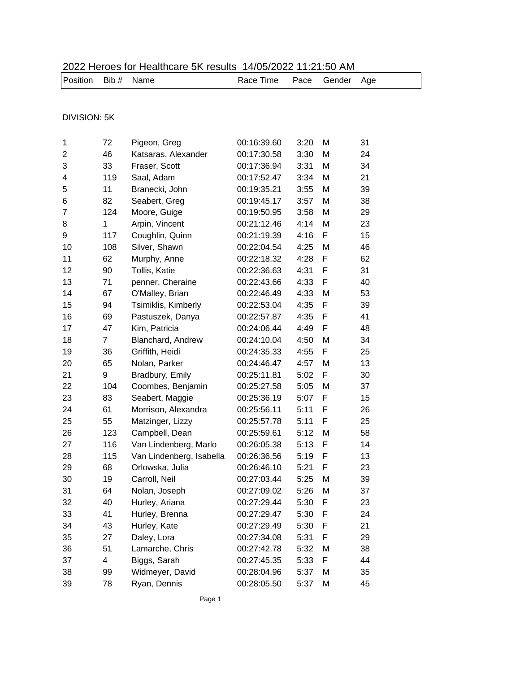| <b>DIVISION: 5K</b><br>72<br>31<br>1<br>00:16:39.60<br>3:20<br>M<br>Pigeon, Greg<br>$\overline{2}$<br>46<br>Katsaras, Alexander<br>00:17:30.58<br>3:30<br>M<br>24<br>3<br>33<br>Fraser, Scott<br>00:17:36.94<br>3:31<br>M<br>34<br>119<br>4<br>00:17:52.47<br>3:34<br>M<br>21<br>Saal, Adam<br>5<br>11<br>Branecki, John<br>00:19:35.21<br>3:55<br>M<br>39<br>6<br>82<br>00:19:45.17<br>3:57<br>M<br>38<br>Seabert, Greg<br>124<br>29<br>7<br>Moore, Guige<br>00:19:50.95<br>3:58<br>M<br>$\mathbf{1}$<br>8<br>Arpin, Vincent<br>00:21:12.46<br>4:14<br>M<br>23<br>F<br>15<br>9<br>117<br>Coughlin, Quinn<br>00:21:19.39<br>4:16<br>46<br>10<br>108<br>Silver, Shawn<br>00:22:04.54<br>4:25<br>M |
|--------------------------------------------------------------------------------------------------------------------------------------------------------------------------------------------------------------------------------------------------------------------------------------------------------------------------------------------------------------------------------------------------------------------------------------------------------------------------------------------------------------------------------------------------------------------------------------------------------------------------------------------------------------------------------------------------|
|                                                                                                                                                                                                                                                                                                                                                                                                                                                                                                                                                                                                                                                                                                  |
|                                                                                                                                                                                                                                                                                                                                                                                                                                                                                                                                                                                                                                                                                                  |
|                                                                                                                                                                                                                                                                                                                                                                                                                                                                                                                                                                                                                                                                                                  |
|                                                                                                                                                                                                                                                                                                                                                                                                                                                                                                                                                                                                                                                                                                  |
|                                                                                                                                                                                                                                                                                                                                                                                                                                                                                                                                                                                                                                                                                                  |
|                                                                                                                                                                                                                                                                                                                                                                                                                                                                                                                                                                                                                                                                                                  |
|                                                                                                                                                                                                                                                                                                                                                                                                                                                                                                                                                                                                                                                                                                  |
|                                                                                                                                                                                                                                                                                                                                                                                                                                                                                                                                                                                                                                                                                                  |
|                                                                                                                                                                                                                                                                                                                                                                                                                                                                                                                                                                                                                                                                                                  |
|                                                                                                                                                                                                                                                                                                                                                                                                                                                                                                                                                                                                                                                                                                  |
|                                                                                                                                                                                                                                                                                                                                                                                                                                                                                                                                                                                                                                                                                                  |
|                                                                                                                                                                                                                                                                                                                                                                                                                                                                                                                                                                                                                                                                                                  |
|                                                                                                                                                                                                                                                                                                                                                                                                                                                                                                                                                                                                                                                                                                  |
| 11<br>62<br>F<br>62<br>Murphy, Anne<br>00:22:18.32<br>4:28                                                                                                                                                                                                                                                                                                                                                                                                                                                                                                                                                                                                                                       |
| F<br>12<br>90<br>Tollis, Katie<br>00:22:36.63<br>4:31<br>31                                                                                                                                                                                                                                                                                                                                                                                                                                                                                                                                                                                                                                      |
| 13<br>F<br>71<br>penner, Cheraine<br>00:22:43.66<br>4:33<br>40                                                                                                                                                                                                                                                                                                                                                                                                                                                                                                                                                                                                                                   |
| 14<br>67<br>4:33<br>O'Malley, Brian<br>00:22:46.49<br>M<br>53                                                                                                                                                                                                                                                                                                                                                                                                                                                                                                                                                                                                                                    |
| 15<br>F<br>39<br>94<br>Tsimiklis, Kimberly<br>00:22:53.04<br>4:35                                                                                                                                                                                                                                                                                                                                                                                                                                                                                                                                                                                                                                |
| 16<br>41<br>Pastuszek, Danya<br>00:22:57.87<br>4:35<br>F<br>69                                                                                                                                                                                                                                                                                                                                                                                                                                                                                                                                                                                                                                   |
| 17<br>47<br>00:24:06.44<br>F<br>48<br>Kim, Patricia<br>4:49                                                                                                                                                                                                                                                                                                                                                                                                                                                                                                                                                                                                                                      |
| 18<br>$\overline{7}$<br>00:24:10.04<br>4:50<br>34<br>Blanchard, Andrew<br>M                                                                                                                                                                                                                                                                                                                                                                                                                                                                                                                                                                                                                      |
| 19<br>F<br>36<br>Griffith, Heidi<br>00:24:35.33<br>4:55<br>25                                                                                                                                                                                                                                                                                                                                                                                                                                                                                                                                                                                                                                    |
| 65<br>13<br>20<br>Nolan, Parker<br>00:24:46.47<br>4:57<br>M                                                                                                                                                                                                                                                                                                                                                                                                                                                                                                                                                                                                                                      |
| 9<br>5:02<br>30<br>21<br>Bradbury, Emily<br>00:25:11.81<br>F                                                                                                                                                                                                                                                                                                                                                                                                                                                                                                                                                                                                                                     |
| 22<br>104<br>Coombes, Benjamin<br>00:25:27.58<br>5:05<br>M<br>37                                                                                                                                                                                                                                                                                                                                                                                                                                                                                                                                                                                                                                 |
| F<br>23<br>Seabert, Maggie<br>00:25:36.19<br>5:07<br>15<br>83                                                                                                                                                                                                                                                                                                                                                                                                                                                                                                                                                                                                                                    |
| 24<br>61<br>00:25:56.11<br>5:11<br>F<br>26<br>Morrison, Alexandra                                                                                                                                                                                                                                                                                                                                                                                                                                                                                                                                                                                                                                |
| 25<br>55<br>Matzinger, Lizzy<br>00:25:57.78<br>5:11<br>F<br>25                                                                                                                                                                                                                                                                                                                                                                                                                                                                                                                                                                                                                                   |
| 26<br>123<br>Campbell, Dean<br>00:25:59.61<br>M<br>58<br>5:12                                                                                                                                                                                                                                                                                                                                                                                                                                                                                                                                                                                                                                    |
| F<br>27<br>5:13<br>14<br>116<br>Van Lindenberg, Marlo<br>00:26:05.38                                                                                                                                                                                                                                                                                                                                                                                                                                                                                                                                                                                                                             |
| 13<br>28<br>5:19<br>F<br>115<br>00:26:36.56<br>Van Lindenberg, Isabella                                                                                                                                                                                                                                                                                                                                                                                                                                                                                                                                                                                                                          |
| 68<br>Orlowska, Julia<br>F<br>23<br>29<br>00:26:46.10<br>5:21                                                                                                                                                                                                                                                                                                                                                                                                                                                                                                                                                                                                                                    |
| 19<br>30<br>Carroll, Neil<br>00:27:03.44<br>5:25<br>39<br>M                                                                                                                                                                                                                                                                                                                                                                                                                                                                                                                                                                                                                                      |
| Nolan, Joseph<br>31<br>64<br>00:27:09.02<br>5:26<br>M<br>37                                                                                                                                                                                                                                                                                                                                                                                                                                                                                                                                                                                                                                      |
| 40<br>32<br>Hurley, Ariana<br>00:27:29.44<br>5:30<br>F<br>23                                                                                                                                                                                                                                                                                                                                                                                                                                                                                                                                                                                                                                     |
| 33<br>41<br>Hurley, Brenna<br>00:27:29.47<br>5:30<br>F<br>24                                                                                                                                                                                                                                                                                                                                                                                                                                                                                                                                                                                                                                     |
| Hurley, Kate<br>34<br>43<br>00:27:29.49<br>5:30<br>F<br>21                                                                                                                                                                                                                                                                                                                                                                                                                                                                                                                                                                                                                                       |
| 35<br>27<br>Daley, Lora<br>29<br>00:27:34.08<br>5:31<br>F                                                                                                                                                                                                                                                                                                                                                                                                                                                                                                                                                                                                                                        |
| 36<br>51<br>38<br>Lamarche, Chris<br>00:27:42.78<br>5:32<br>M                                                                                                                                                                                                                                                                                                                                                                                                                                                                                                                                                                                                                                    |
| 37<br>4<br>Biggs, Sarah<br>00:27:45.35<br>5:33<br>F<br>44                                                                                                                                                                                                                                                                                                                                                                                                                                                                                                                                                                                                                                        |
| Widmeyer, David<br>38<br>99<br>00:28:04.96<br>5:37<br>M<br>35                                                                                                                                                                                                                                                                                                                                                                                                                                                                                                                                                                                                                                    |
| 45<br>39<br>78<br>Ryan, Dennis<br>00:28:05.50<br>5:37<br>M                                                                                                                                                                                                                                                                                                                                                                                                                                                                                                                                                                                                                                       |

## 2022 Heroes for Healthcare 5K results 14/05/2022 11:21:50 AM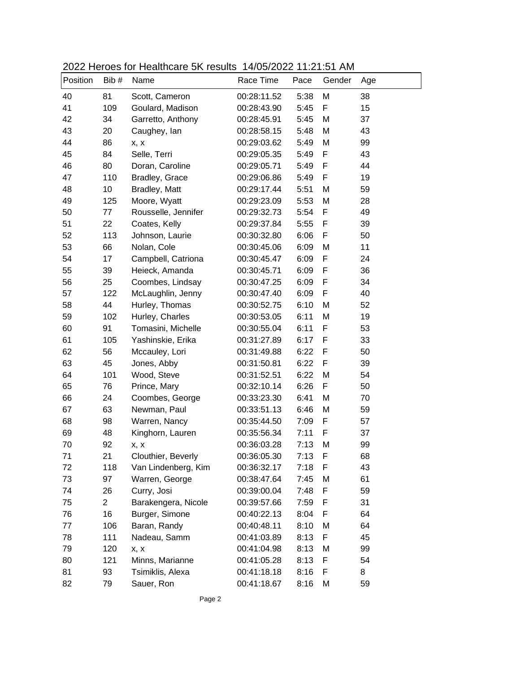| Position | Bib #          | $2022 + 101000 + 01 + 10010 + 00100 + 10000 + 11000 + 2022 + 112 + 1011 + 1011$<br>Name | Race Time   | Pace | Gender | Age |
|----------|----------------|-----------------------------------------------------------------------------------------|-------------|------|--------|-----|
| 40       | 81             | Scott, Cameron                                                                          | 00:28:11.52 | 5:38 | M      | 38  |
| 41       | 109            | Goulard, Madison                                                                        | 00:28:43.90 | 5:45 | F      | 15  |
| 42       | 34             | Garretto, Anthony                                                                       | 00:28:45.91 | 5:45 | M      | 37  |
| 43       | 20             | Caughey, lan                                                                            | 00:28:58.15 | 5:48 | M      | 43  |
| 44       | 86             | x, x                                                                                    | 00:29:03.62 | 5:49 | M      | 99  |
| 45       | 84             | Selle, Terri                                                                            | 00:29:05.35 | 5:49 | F      | 43  |
| 46       | 80             | Doran, Caroline                                                                         | 00:29:05.71 | 5:49 | F      | 44  |
| 47       | 110            | Bradley, Grace                                                                          | 00:29:06.86 | 5:49 | F      | 19  |
| 48       | 10             | Bradley, Matt                                                                           | 00:29:17.44 | 5:51 | M      | 59  |
| 49       | 125            | Moore, Wyatt                                                                            | 00:29:23.09 | 5:53 | M      | 28  |
| 50       | 77             | Rousselle, Jennifer                                                                     | 00:29:32.73 | 5:54 | F      | 49  |
| 51       | 22             | Coates, Kelly                                                                           | 00:29:37.84 | 5:55 | F      | 39  |
| 52       | 113            | Johnson, Laurie                                                                         | 00:30:32.80 | 6:06 | F      | 50  |
| 53       | 66             | Nolan, Cole                                                                             | 00:30:45.06 | 6:09 | M      | 11  |
| 54       | 17             | Campbell, Catriona                                                                      | 00:30:45.47 | 6:09 | F      | 24  |
| 55       | 39             | Heieck, Amanda                                                                          | 00:30:45.71 | 6:09 | F      | 36  |
| 56       | 25             | Coombes, Lindsay                                                                        | 00:30:47.25 | 6:09 | F      | 34  |
| 57       | 122            | McLaughlin, Jenny                                                                       | 00:30:47.40 | 6:09 | F      | 40  |
| 58       | 44             | Hurley, Thomas                                                                          | 00:30:52.75 | 6:10 | M      | 52  |
| 59       | 102            | Hurley, Charles                                                                         | 00:30:53.05 | 6:11 | M      | 19  |
| 60       | 91             | Tomasini, Michelle                                                                      | 00:30:55.04 | 6:11 | F      | 53  |
| 61       | 105            | Yashinskie, Erika                                                                       | 00:31:27.89 | 6:17 | F      | 33  |
| 62       | 56             | Mccauley, Lori                                                                          | 00:31:49.88 | 6:22 | F      | 50  |
| 63       | 45             | Jones, Abby                                                                             | 00:31:50.81 | 6:22 | F      | 39  |
| 64       | 101            | Wood, Steve                                                                             | 00:31:52.51 | 6:22 | M      | 54  |
| 65       | 76             | Prince, Mary                                                                            | 00:32:10.14 | 6:26 | F      | 50  |
| 66       | 24             | Coombes, George                                                                         | 00:33:23.30 | 6:41 | M      | 70  |
| 67       | 63             | Newman, Paul                                                                            | 00:33:51.13 | 6:46 | M      | 59  |
| 68       | 98             | Warren, Nancy                                                                           | 00:35:44.50 | 7:09 | F      | 57  |
| 69       | 48             | Kinghorn, Lauren                                                                        | 00:35:56.34 | 7:11 | F      | 37  |
| 70       | 92             | x, x                                                                                    | 00:36:03.28 | 7:13 | M      | 99  |
| 71       | 21             | Clouthier, Beverly                                                                      | 00:36:05.30 | 7:13 | F      | 68  |
| 72       | 118            | Van Lindenberg, Kim                                                                     | 00:36:32.17 | 7:18 | F      | 43  |
| 73       | 97             | Warren, George                                                                          | 00:38:47.64 | 7:45 | M      | 61  |
| 74       | 26             | Curry, Josi                                                                             | 00:39:00.04 | 7:48 | F      | 59  |
| 75       | $\overline{c}$ | Barakengera, Nicole                                                                     | 00:39:57.66 | 7:59 | F      | 31  |
| 76       | 16             | Burger, Simone                                                                          | 00:40:22.13 | 8:04 | F      | 64  |
| 77       | 106            | Baran, Randy                                                                            | 00:40:48.11 | 8:10 | М      | 64  |
| 78       | 111            | Nadeau, Samm                                                                            | 00:41:03.89 | 8:13 | F      | 45  |
| 79       | 120            | x, x                                                                                    | 00:41:04.98 | 8:13 | М      | 99  |
| 80       | 121            | Minns, Marianne                                                                         | 00:41:05.28 | 8:13 | F      | 54  |
| 81       | 93             | Tsimiklis, Alexa                                                                        | 00:41:18.18 | 8:16 | F      | 8   |
| 82       | 79             | Sauer, Ron                                                                              | 00:41:18.67 | 8:16 | М      | 59  |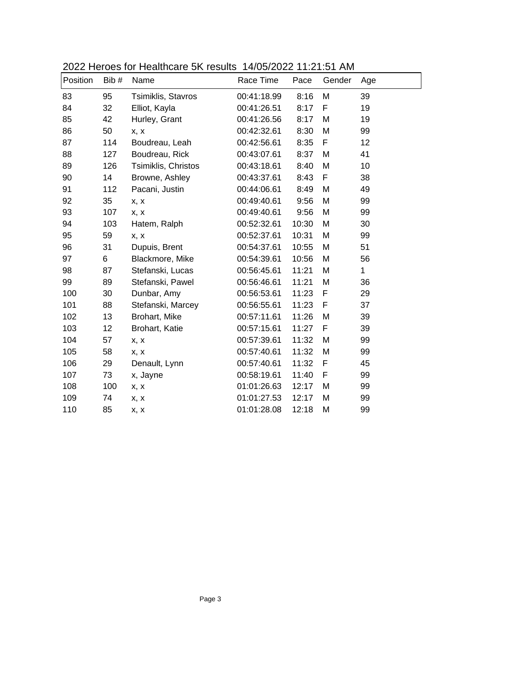| Position | Bib # | Name                | Race Time   | Pace  | Gender | Age          |
|----------|-------|---------------------|-------------|-------|--------|--------------|
| 83       | 95    | Tsimiklis, Stavros  | 00:41:18.99 | 8:16  | M      | 39           |
| 84       | 32    | Elliot, Kayla       | 00:41:26.51 | 8:17  | F      | 19           |
| 85       | 42    | Hurley, Grant       | 00:41:26.56 | 8:17  | M      | 19           |
| 86       | 50    | x, x                | 00:42:32.61 | 8:30  | M      | 99           |
| 87       | 114   | Boudreau, Leah      | 00:42:56.61 | 8:35  | F      | 12           |
| 88       | 127   | Boudreau, Rick      | 00:43:07.61 | 8:37  | M      | 41           |
| 89       | 126   | Tsimiklis, Christos | 00:43:18.61 | 8:40  | M      | 10           |
| 90       | 14    | Browne, Ashley      | 00:43:37.61 | 8:43  | F      | 38           |
| 91       | 112   | Pacani, Justin      | 00:44:06.61 | 8:49  | M      | 49           |
| 92       | 35    | x, x                | 00:49:40.61 | 9:56  | M      | 99           |
| 93       | 107   | x, x                | 00:49:40.61 | 9:56  | M      | 99           |
| 94       | 103   | Hatem, Ralph        | 00:52:32.61 | 10:30 | M      | 30           |
| 95       | 59    | X, X                | 00:52:37.61 | 10:31 | M      | 99           |
| 96       | 31    | Dupuis, Brent       | 00:54:37.61 | 10:55 | M      | 51           |
| 97       | 6     | Blackmore, Mike     | 00:54:39.61 | 10:56 | M      | 56           |
| 98       | 87    | Stefanski, Lucas    | 00:56:45.61 | 11:21 | М      | $\mathbf{1}$ |
| 99       | 89    | Stefanski, Pawel    | 00:56:46.61 | 11:21 | M      | 36           |
| 100      | 30    | Dunbar, Amy         | 00:56:53.61 | 11:23 | F      | 29           |
| 101      | 88    | Stefanski, Marcey   | 00:56:55.61 | 11:23 | F      | 37           |
| 102      | 13    | Brohart, Mike       | 00:57:11.61 | 11:26 | M      | 39           |
| 103      | 12    | Brohart, Katie      | 00:57:15.61 | 11:27 | F      | 39           |
| 104      | 57    | x, x                | 00:57:39.61 | 11:32 | M      | 99           |
| 105      | 58    | x, x                | 00:57:40.61 | 11:32 | М      | 99           |
| 106      | 29    | Denault, Lynn       | 00:57:40.61 | 11:32 | F      | 45           |
| 107      | 73    | x, Jayne            | 00:58:19.61 | 11:40 | F      | 99           |
| 108      | 100   | x, x                | 01:01:26.63 | 12:17 | M      | 99           |
| 109      | 74    | x, x                | 01:01:27.53 | 12:17 | M      | 99           |
| 110      | 85    | x, x                | 01:01:28.08 | 12:18 | M      | 99           |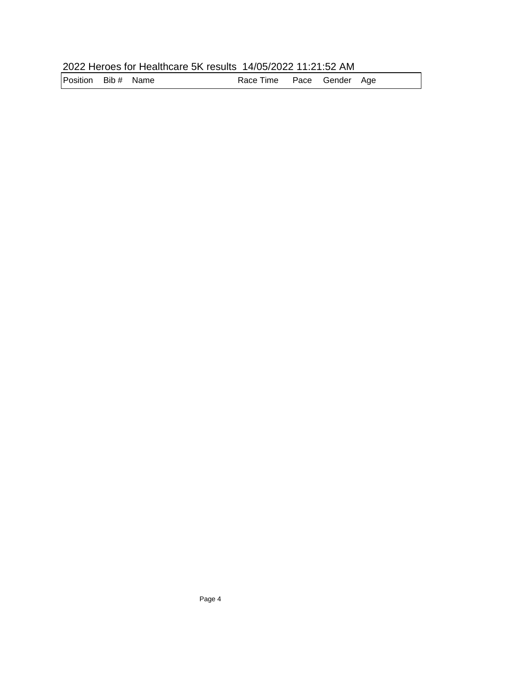| 2022 Heroes for Healthcare 5K results 14/05/2022 11:21:52 AM |  |
|--------------------------------------------------------------|--|
|--------------------------------------------------------------|--|

Position Bib # Name **Race Time Pace Gender Age**